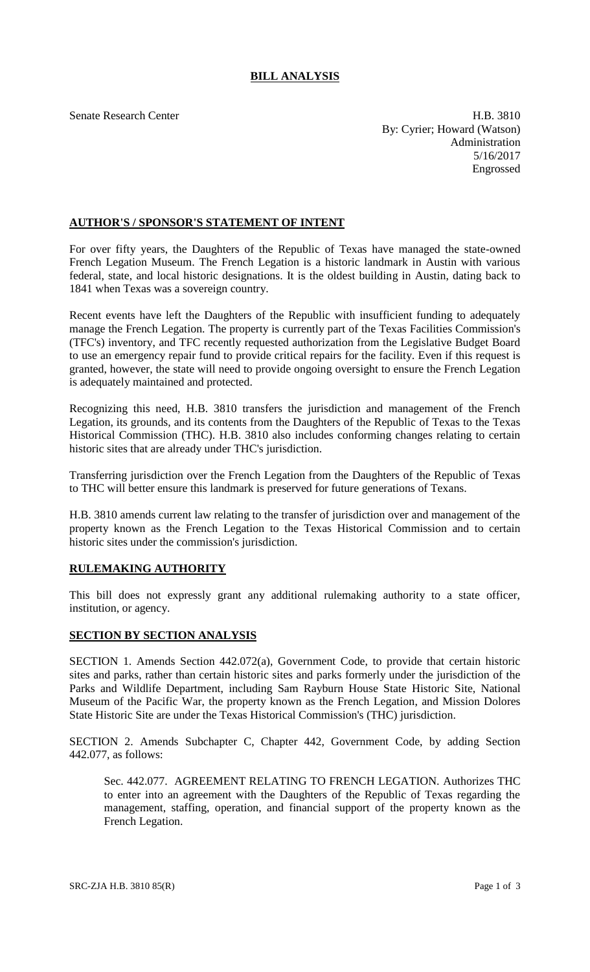## **BILL ANALYSIS**

Senate Research Center **H.B.** 3810 By: Cyrier; Howard (Watson) Administration 5/16/2017 Engrossed

## **AUTHOR'S / SPONSOR'S STATEMENT OF INTENT**

For over fifty years, the Daughters of the Republic of Texas have managed the state-owned French Legation Museum. The French Legation is a historic landmark in Austin with various federal, state, and local historic designations. It is the oldest building in Austin, dating back to 1841 when Texas was a sovereign country.

Recent events have left the Daughters of the Republic with insufficient funding to adequately manage the French Legation. The property is currently part of the Texas Facilities Commission's (TFC's) inventory, and TFC recently requested authorization from the Legislative Budget Board to use an emergency repair fund to provide critical repairs for the facility. Even if this request is granted, however, the state will need to provide ongoing oversight to ensure the French Legation is adequately maintained and protected.

Recognizing this need, H.B. 3810 transfers the jurisdiction and management of the French Legation, its grounds, and its contents from the Daughters of the Republic of Texas to the Texas Historical Commission (THC). H.B. 3810 also includes conforming changes relating to certain historic sites that are already under THC's jurisdiction.

Transferring jurisdiction over the French Legation from the Daughters of the Republic of Texas to THC will better ensure this landmark is preserved for future generations of Texans.

H.B. 3810 amends current law relating to the transfer of jurisdiction over and management of the property known as the French Legation to the Texas Historical Commission and to certain historic sites under the commission's jurisdiction.

## **RULEMAKING AUTHORITY**

This bill does not expressly grant any additional rulemaking authority to a state officer, institution, or agency.

## **SECTION BY SECTION ANALYSIS**

SECTION 1. Amends Section 442.072(a), Government Code, to provide that certain historic sites and parks, rather than certain historic sites and parks formerly under the jurisdiction of the Parks and Wildlife Department, including Sam Rayburn House State Historic Site, National Museum of the Pacific War, the property known as the French Legation, and Mission Dolores State Historic Site are under the Texas Historical Commission's (THC) jurisdiction.

SECTION 2. Amends Subchapter C, Chapter 442, Government Code, by adding Section 442.077, as follows:

Sec. 442.077. AGREEMENT RELATING TO FRENCH LEGATION. Authorizes THC to enter into an agreement with the Daughters of the Republic of Texas regarding the management, staffing, operation, and financial support of the property known as the French Legation.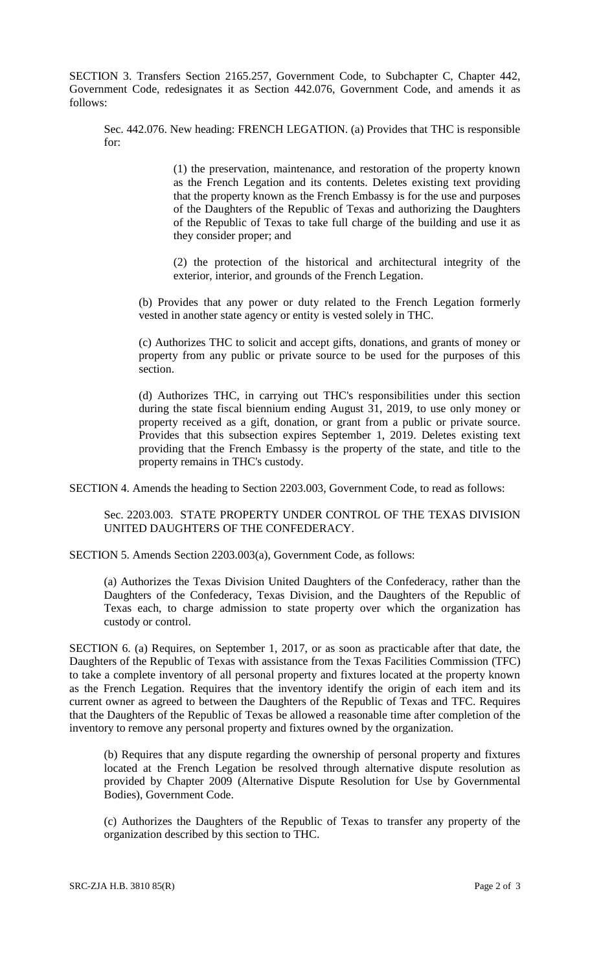SECTION 3. Transfers Section 2165.257, Government Code, to Subchapter C, Chapter 442, Government Code, redesignates it as Section 442.076, Government Code, and amends it as follows:

Sec. 442.076. New heading: FRENCH LEGATION. (a) Provides that THC is responsible for:

> (1) the preservation, maintenance, and restoration of the property known as the French Legation and its contents. Deletes existing text providing that the property known as the French Embassy is for the use and purposes of the Daughters of the Republic of Texas and authorizing the Daughters of the Republic of Texas to take full charge of the building and use it as they consider proper; and

> (2) the protection of the historical and architectural integrity of the exterior, interior, and grounds of the French Legation.

(b) Provides that any power or duty related to the French Legation formerly vested in another state agency or entity is vested solely in THC.

(c) Authorizes THC to solicit and accept gifts, donations, and grants of money or property from any public or private source to be used for the purposes of this section.

(d) Authorizes THC, in carrying out THC's responsibilities under this section during the state fiscal biennium ending August 31, 2019, to use only money or property received as a gift, donation, or grant from a public or private source. Provides that this subsection expires September 1, 2019. Deletes existing text providing that the French Embassy is the property of the state, and title to the property remains in THC's custody.

SECTION 4. Amends the heading to Section 2203.003, Government Code, to read as follows:

Sec. 2203.003. STATE PROPERTY UNDER CONTROL OF THE TEXAS DIVISION UNITED DAUGHTERS OF THE CONFEDERACY.

SECTION 5. Amends Section 2203.003(a), Government Code, as follows:

(a) Authorizes the Texas Division United Daughters of the Confederacy, rather than the Daughters of the Confederacy, Texas Division, and the Daughters of the Republic of Texas each, to charge admission to state property over which the organization has custody or control.

SECTION 6. (a) Requires, on September 1, 2017, or as soon as practicable after that date, the Daughters of the Republic of Texas with assistance from the Texas Facilities Commission (TFC) to take a complete inventory of all personal property and fixtures located at the property known as the French Legation. Requires that the inventory identify the origin of each item and its current owner as agreed to between the Daughters of the Republic of Texas and TFC. Requires that the Daughters of the Republic of Texas be allowed a reasonable time after completion of the inventory to remove any personal property and fixtures owned by the organization.

(b) Requires that any dispute regarding the ownership of personal property and fixtures located at the French Legation be resolved through alternative dispute resolution as provided by Chapter 2009 (Alternative Dispute Resolution for Use by Governmental Bodies), Government Code.

(c) Authorizes the Daughters of the Republic of Texas to transfer any property of the organization described by this section to THC.